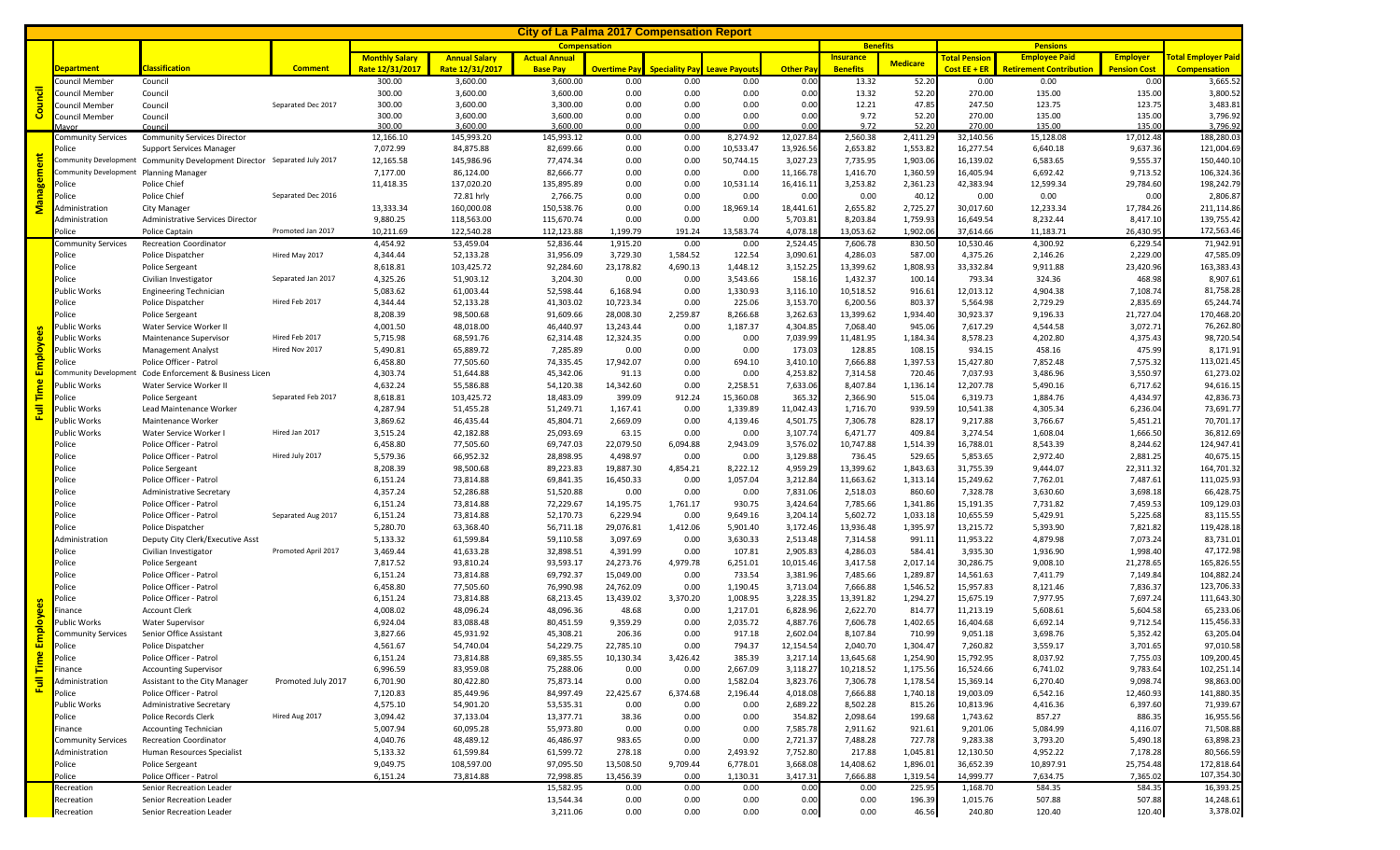| <u>City of La Palma 2017 Compensation Report</u> |                                        |                                                                                                             |                     |                       |                         |                        |                             |                                             |                      |                       |                       |                      |                        |                                |                       |                            |
|--------------------------------------------------|----------------------------------------|-------------------------------------------------------------------------------------------------------------|---------------------|-----------------------|-------------------------|------------------------|-----------------------------|---------------------------------------------|----------------------|-----------------------|-----------------------|----------------------|------------------------|--------------------------------|-----------------------|----------------------------|
|                                                  |                                        |                                                                                                             |                     |                       |                         |                        |                             |                                             | <b>Benefits</b>      |                       | <b>Pensions</b>       |                      |                        |                                |                       |                            |
|                                                  |                                        |                                                                                                             |                     | <b>Monthly Salary</b> | <b>Annual Salary</b>    | <b>Actual Annual</b>   |                             |                                             |                      |                       | <b>Insurance</b>      | <b>Medicare</b>      | <b>Total Pension</b>   | <b>Employee Paid</b>           | <b>Employer</b>       | <b>Fotal Employer Paid</b> |
| Council                                          | <b>Department</b>                      | <b>Classification</b>                                                                                       | <b>Comment</b>      | Rate 12/31/2017       | Rate 12/31/2017         | <b>Base Pav</b>        | <b>Overtime Pay</b><br>0.00 | <b>Speciality Pay Leave Pavout:</b><br>0.00 |                      | <b>Other Pay</b>      | <b>Benefits</b>       |                      | Cost $EE + ER$         | <b>Retirement Contribution</b> | <b>Pension Cost</b>   | <b>Compensation</b>        |
|                                                  | Council Member<br>Council Member       | Council<br>Council                                                                                          |                     | 300.00<br>300.00      | 3,600.00<br>3,600.00    | 3,600.00<br>3,600.00   | 0.00                        | 0.00                                        | 0.00<br>0.00         | 0.00<br>0.00          | 13.32<br>13.32        | 52.20<br>52.20       | 0.00<br>270.00         | 0.00<br>135.00                 | 0.00<br>135.00        | 3,665.52<br>3,800.52       |
|                                                  | <b>Council Member</b>                  | Council                                                                                                     | Separated Dec 2017  | 300.00                | 3,600.00                | 3,300.00               | 0.00                        | 0.00                                        | 0.00                 | 0.00                  | 12.21                 | 47.85                | 247.50                 | 123.75                         | 123.75                | 3,483.81                   |
|                                                  | Council Member                         | Council                                                                                                     |                     | 300.00                | 3,600.00                | 3,600.00               | 0.00                        | 0.00                                        | 0.00                 | 0.00                  | 9.72                  | 52.20                | 270.00                 | 135.00                         | 135.00                | 3,796.92                   |
|                                                  |                                        | Counci                                                                                                      |                     | 300.00                | 3,600.00                | 3,600.00               | 0.00                        | 0.00                                        | 0.00                 | 0.00                  | 9.72                  | 52.20                | 270.00                 | 135.00                         | 135.00                | 3,796.92                   |
| ment<br><b>Manager</b>                           | <b>Community Services</b>              | <b>Community Services Director</b>                                                                          |                     | 12,166.10             | 145,993.20              | 145,993.12             | 0.00                        | 0.00                                        | 8,274.92             | 12,027.84             | 2,560.38              | 2,411.29             | 32,140.56              | 15,128.08                      | 17,012.48             | 188,280.03                 |
|                                                  | Police                                 | <b>Support Services Manager</b><br>Community Development Community Development Director Separated July 2017 |                     | 7,072.99              | 84,875.88               | 82,699.66              | 0.00                        | 0.00                                        | 10,533.47            | 13,926.56             | 2,653.82              | 1,553.82             | 16,277.54              | 6,640.18                       | 9,637.36              | 121,004.69<br>150,440.10   |
|                                                  | Community Development Planning Manager |                                                                                                             |                     | 12,165.58<br>7,177.00 | 145,986.96<br>86,124.00 | 77,474.34<br>82,666.77 | 0.00<br>0.00                | 0.00<br>0.00                                | 50,744.15<br>0.00    | 3,027.23<br>11,166.78 | 7,735.95<br>1,416.70  | 1,903.06<br>1,360.59 | 16,139.02<br>16,405.94 | 6,583.65<br>6,692.42           | 9,555.37<br>9,713.52  | 106,324.36                 |
|                                                  | Police                                 | Police Chief                                                                                                |                     | 11,418.35             | 137,020.20              | 135,895.89             | 0.00                        | 0.00                                        | 10,531.14            | 16,416.1              | 3,253.82              | 2,361.23             | 42,383.94              | 12,599.34                      | 29,784.60             | 198,242.79                 |
|                                                  | Police                                 | Police Chief                                                                                                | Separated Dec 2016  |                       | 72.81 hrly              | 2,766.75               | 0.00                        | 0.00                                        | 0.00                 | 0.00                  | 0.00                  | 40.1                 | 0.00                   | 0.00                           | 0.00                  | 2,806.87                   |
|                                                  | Administration                         | City Manager                                                                                                |                     | 13,333.34             | 160,000.08              | 150,538.76             | 0.00                        | 0.00                                        | 18,969.14            | 18,441.61             | 2,655.82              | 2,725.27             | 30,017.60              | 12,233.34                      | 17,784.26             | 211,114.86                 |
|                                                  | Administration                         | <b>Administrative Services Director</b>                                                                     |                     | 9,880.25              | 118,563.00              | 115,670.74             | 0.00                        | 0.00                                        | 0.00                 | 5,703.81              | 8,203.84              | 1,759.93             | 16,649.54              | 8,232.44                       | 8,417.10              | 139,755.42                 |
|                                                  | Police                                 | Police Captain                                                                                              | Promoted Jan 2017   | 10,211.69             | 122,540.28              | 112,123.88             | 1,199.79                    | 191.24                                      | 13,583.74            | 4,078.18              | 13,053.62             | 1,902.06             | 37,614.66              | 11,183.71                      | 26,430.95             | 172,563.4                  |
|                                                  | <b>Community Services</b>              | <b>Recreation Coordinator</b>                                                                               |                     | 4,454.92              | 53,459.04               | 52,836.44              | 1,915.20                    | 0.00                                        | 0.00                 | 2,524.45              | 7,606.78              | 830.50               | 10,530.46              | 4,300.92                       | 6,229.54              | 71,942.91                  |
|                                                  | Police                                 | Police Dispatcher                                                                                           | Hired May 2017      | 4,344.44              | 52,133.28               | 31,956.09              | 3,729.30                    | 1,584.52                                    | 122.54               | 3,090.61              | 4,286.03              | 587.00               | 4,375.26               | 2,146.26                       | 2,229.00              | 47,585.09                  |
|                                                  | Police<br>Police                       | Police Sergeant                                                                                             | Separated Jan 2017  | 8,618.81              | 103,425.72              | 92,284.60              | 23,178.82                   | 4,690.13                                    | 1,448.12             | 3,152.2               | 13,399.62             | 1,808.9              | 33,332.84              | 9,911.88                       | 23,420.96             | 163,383.43<br>8,907.61     |
|                                                  | <b>Public Works</b>                    | Civilian Investigator<br><b>Engineering Technician</b>                                                      |                     | 4,325.26<br>5,083.62  | 51,903.12<br>61,003.44  | 3,204.30<br>52,598.44  | 0.00<br>6,168.94            | 0.00<br>0.00                                | 3,543.66<br>1,330.93 | 158.1<br>3,116.10     | 1,432.37<br>10,518.52 | 100.14<br>916.61     | 793.34<br>12,013.12    | 324.36<br>4,904.38             | 468.98<br>7,108.74    | 81,758.28                  |
|                                                  | Police                                 | Police Dispatcher                                                                                           | Hired Feb 2017      | 4,344.44              | 52,133.28               | 41,303.02              | 10,723.34                   | 0.00                                        | 225.06               | 3,153.70              | 6,200.56              | 803.37               | 5,564.98               | 2,729.29                       | 2,835.69              | 65,244.74                  |
|                                                  | Police                                 | Police Sergeant                                                                                             |                     | 8,208.39              | 98,500.68               | 91,609.66              | 28,008.30                   | 2,259.87                                    | 8,266.68             | 3,262.63              | 13,399.62             | 1,934.40             | 30,923.37              | 9,196.33                       | 21,727.04             | 170,468.20                 |
|                                                  | <b>Public Works</b>                    | Water Service Worker II                                                                                     |                     | 4,001.50              | 48,018.00               | 46,440.97              | 13,243.44                   | 0.00                                        | 1,187.37             | 4,304.85              | 7,068.40              | 945.06               | 7,617.29               | 4,544.58                       | 3,072.71              | 76,262.80                  |
|                                                  | Public Works                           | Maintenance Supervisor                                                                                      | Hired Feb 2017      | 5,715.98              | 68,591.76               | 62,314.48              | 12,324.35                   | 0.00                                        | 0.00                 | 7,039.99              | 11,481.95             | 1,184.34             | 8,578.23               | 4,202.80                       | 4,375.43              | 98,720.54                  |
| Employe                                          | Public Works                           | <b>Management Analyst</b>                                                                                   | Hired Nov 2017      | 5,490.81              | 65,889.72               | 7,285.89               | 0.00                        | 0.00                                        | 0.00                 | 173.03                | 128.85                | 108.15               | 934.15                 | 458.16                         | 475.99                | 8,171.91                   |
|                                                  | Police                                 | Police Officer - Patrol                                                                                     |                     | 6,458.80              | 77,505.60               | 74,335.45              | 17,942.07                   | 0.00                                        | 694.10               | 3,410.10              | 7,666.88              | 1,397.53             | 15,427.80              | 7,852.48                       | 7,575.32              | 113,021.45                 |
|                                                  |                                        | Community Development Code Enforcement & Business Licen                                                     |                     | 4,303.74              | 51,644.88               | 45,342.06              | 91.13                       | 0.00                                        | 0.00                 | 4,253.82              | 7,314.58              | 720.46               | 7,037.93               | 3,486.96                       | 3,550.97              | 61,273.02                  |
| Time                                             | Public Works                           | Water Service Worker II                                                                                     |                     | 4,632.24              | 55,586.88               | 54,120.38              | 14,342.60                   | 0.00                                        | 2,258.51             | 7,633.06              | 8,407.84              | 1,136.14             | 12,207.78              | 5,490.16                       | 6,717.62              | 94,616.15                  |
|                                                  | Police                                 | Police Sergeant                                                                                             | Separated Feb 2017  | 8,618.81              | 103,425.72              | 18,483.09              | 399.09                      | 912.24                                      | 15,360.08            | 365.3                 | 2,366.90              | 515.04               | 6,319.73               | 1,884.76                       | 4,434.97              | 42,836.73                  |
| 팀                                                | Public Works                           | Lead Maintenance Worker                                                                                     |                     | 4,287.94              | 51,455.28               | 51,249.71              | 1,167.41                    | 0.00                                        | 1,339.89             | 11,042.43             | 1,716.70              | 939.5                | 10,541.38              | 4,305.34                       | 6,236.04              | 73,691.77                  |
|                                                  | ublic Works<br>Public Works            | Maintenance Worker<br>Water Service Worker I                                                                | Hired Jan 2017      | 3,869.62<br>3,515.24  | 46,435.44<br>42,182.88  | 45,804.71<br>25,093.69 | 2,669.09<br>63.15           | 0.00<br>0.00                                | 4,139.46<br>0.00     | 4,501.75<br>3,107.74  | 7,306.78<br>6,471.77  | 828.1<br>409.84      | 9,217.88<br>3,274.54   | 3,766.67<br>1,608.04           | 5,451.21<br>1,666.50  | 70,701.17<br>36,812.69     |
|                                                  | Police                                 | Police Officer - Patrol                                                                                     |                     | 6,458.80              | 77,505.60               | 69,747.03              | 22,079.50                   | 6,094.88                                    | 2,943.09             | 3,576.02              | 10,747.88             | 1,514.39             | 16,788.01              | 8,543.39                       | 8,244.62              | 124,947.41                 |
|                                                  | Police                                 | Police Officer - Patrol                                                                                     | Hired July 2017     | 5,579.36              | 66,952.32               | 28,898.95              | 4,498.97                    | 0.00                                        | 0.00                 | 3,129.88              | 736.45                | 529.65               | 5,853.65               | 2,972.40                       | 2,881.25              | 40,675.15                  |
|                                                  | Police                                 | Police Sergeant                                                                                             |                     | 8,208.39              | 98,500.68               | 89,223.83              | 19,887.30                   | 4,854.21                                    | 8,222.12             | 4,959.29              | 13,399.62             | 1,843.63             | 31,755.39              | 9,444.07                       | 22,311.32             | 164,701.3                  |
|                                                  | Police                                 | Police Officer - Patrol                                                                                     |                     | 6,151.24              | 73,814.88               | 69,841.35              | 16,450.33                   | 0.00                                        | 1,057.04             | 3,212.84              | 11,663.62             | 1,313.14             | 15,249.62              | 7,762.01                       | 7,487.61              | 111,025.93                 |
|                                                  | Police                                 | Administrative Secretary                                                                                    |                     | 4,357.24              | 52,286.88               | 51,520.88              | 0.00                        | 0.00                                        | 0.00                 | 7,831.06              | 2,518.03              | 860.60               | 7,328.78               | 3,630.60                       | 3,698.18              | 66,428.75                  |
|                                                  | Police                                 | Police Officer - Patrol                                                                                     |                     | 6,151.24              | 73,814.88               | 72,229.67              | 14,195.75                   | 1,761.17                                    | 930.75               | 3,424.64              | 7,785.66              | 1,341.86             | 15,191.35              | 7,731.82                       | 7,459.53              | 109,129.03                 |
|                                                  | Police                                 | Police Officer - Patrol                                                                                     | Separated Aug 2017  | 6,151.24              | 73,814.88               | 52,170.73              | 6,229.94                    | 0.00                                        | 9,649.16             | 3,204.14              | 5,602.72              | 1,033.18             | 10,655.59              | 5,429.91                       | 5,225.68              | 83,115.55                  |
|                                                  | Police                                 | Police Dispatcher                                                                                           |                     | 5,280.70              | 63,368.40               | 56,711.18              | 29,076.81                   | 1,412.06                                    | 5,901.40             | 3,172.46              | 13,936.48             | 1,395.97             | 13,215.72              | 5,393.90                       | 7,821.82              | 119,428.18                 |
|                                                  | Administration                         | Deputy City Clerk/Executive Asst                                                                            | Promoted April 2017 | 5,133.32              | 61,599.84               | 59,110.58              | 3,097.69                    | 0.00                                        | 3,630.33             | 2,513.48              | 7,314.58              | 991.11               | 11,953.22              | 4,879.98                       | 7,073.24              | 83,731.01<br>47,172.98     |
|                                                  | Police<br>Police                       | Civilian Investigator<br>Police Sergeant                                                                    |                     | 3,469.44<br>7,817.52  | 41,633.28<br>93,810.24  | 32,898.51<br>93,593.17 | 4,391.99<br>24,273.76       | 0.00<br>4,979.78                            | 107.81<br>6,251.01   | 2,905.83<br>10,015.46 | 4,286.03<br>3,417.58  | 584.41<br>2,017.14   | 3,935.30<br>30,286.75  | 1,936.90<br>9,008.10           | 1,998.4<br>21,278.65  | 165,826.55                 |
| ő<br>mploye<br>Time<br>$\bar{z}$                 | Police                                 | Police Officer - Patrol                                                                                     |                     | 6,151.24              | 73,814.88               | 69,792.37              | 15,049.00                   | 0.00                                        | 733.54               | 3,381.96              | 7,485.66              | 1,289.87             | 14,561.63              | 7,411.79                       | 7,149.84              | 104,882.24                 |
|                                                  | Police                                 | Police Officer - Patrol                                                                                     |                     | 6,458.80              | 77,505.60               | 76,990.98              | 24,762.09                   | 0.00                                        | 1,190.45             | 3,713.04              | 7,666.88              | 1,546.52             | 15,957.83              | 8,121.46                       | 7,836.37              | 123,706.33                 |
|                                                  | Police                                 | Police Officer - Patrol                                                                                     |                     | 6,151.24              | 73,814.88               | 68,213.45              | 13,439.02                   | 3,370.20                                    | 1,008.95             | 3,228.35              | 13,391.82             | 1,294.27             | 15,675.19              | 7,977.95                       | 7,697.24              | 111,643.30                 |
|                                                  | Finance                                | <b>Account Clerk</b>                                                                                        |                     | 4,008.02              | 48,096.24               | 48,096.36              | 48.68                       | 0.00                                        | 1,217.01             | 6,828.96              | 2,622.70              | 814.7                | 11,213.19              | 5,608.61                       | 5,604.58              | 65,233.06                  |
|                                                  | Public Works                           | <b>Water Supervisor</b>                                                                                     |                     | 6,924.04              | 83,088.48               | 80,451.59              | 9,359.29                    | 0.00                                        | 2,035.72             | 4,887.76              | 7,606.78              | 1,402.6              | 16,404.68              | 6,692.14                       | 9,712.54              | 115,456.33                 |
|                                                  | Community Services                     | Senior Office Assistant                                                                                     |                     | 3,827.66              | 45,931.92               | 45,308.21              | 206.36                      | 0.00                                        | 917.18               | 2,602.04              | 8,107.84              | 710.99               | 9,051.18               | 3,698.76                       | 5,352.42              | 63,205.04                  |
|                                                  |                                        | Police Dispatcher                                                                                           |                     | 4,561.67              | 54,740.04               | 54,229.75              | 22,785.10                   | 0.00                                        | 794.37               | 12,154.54             | 2,040.70              | 1,304.4              | 7,260.82               | 3,559.17                       | 3,701.6               | 97,010.58                  |
|                                                  | Police                                 | Police Officer - Patrol                                                                                     |                     | 6,151.24              | 73,814.88               | 69,385.55              | 10,130.34                   | 3,426.42                                    | 385.39               | 3,217.14              | 13,645.68             | 1,254.90             | 15,792.95              | 8,037.92                       | 7,755.03              | 109,200.45                 |
|                                                  | Finance                                | <b>Accounting Supervisor</b>                                                                                |                     | 6,996.59              | 83,959.08               | 75,288.06              | 0.00                        | 0.00                                        | 2,667.09             | 3,118.27              | 10,218.52             | 1,175.56             | 16,524.66              | 6,741.02                       | 9,783.64              | 102,251.14                 |
|                                                  | Administration<br>Police               | Assistant to the City Manager<br>Police Officer - Patrol                                                    | Promoted July 2017  | 6,701.90              | 80,422.80               | 75,873.14              | 0.00                        | 0.00<br>6,374.68                            | 1,582.04             | 3,823.76              | 7,306.78              | 1,178.54<br>1,740.18 | 15,369.14              | 6,270.40                       | 9,098.74<br>12,460.93 | 98,863.00<br>141,880.35    |
|                                                  | <b>Public Works</b>                    | Administrative Secretary                                                                                    |                     | 7,120.83<br>4,575.10  | 85,449.96<br>54,901.20  | 84,997.49<br>53,535.31 | 22,425.67<br>0.00           | 0.00                                        | 2,196.44<br>0.00     | 4,018.08<br>2,689.22  | 7,666.88<br>8,502.28  | 815.2                | 19,003.09<br>10,813.96 | 6,542.16<br>4,416.36           | 6,397.60              | 71,939.67                  |
|                                                  | Police                                 | Police Records Clerk                                                                                        | Hired Aug 2017      | 3,094.42              | 37,133.04               | 13,377.71              | 38.36                       | 0.00                                        | 0.00                 | 354.82                | 2,098.64              | 199.68               | 1,743.62               | 857.27                         | 886.35                | 16,955.56                  |
|                                                  | Finance                                | <b>Accounting Technician</b>                                                                                |                     | 5,007.94              | 60,095.28               | 55,973.80              | 0.00                        | 0.00                                        | 0.00                 | 7,585.78              | 2,911.62              | 921.61               | 9,201.06               | 5,084.99                       | 4,116.07              | 71,508.88                  |
|                                                  | <b>Community Services</b>              | <b>Recreation Coordinator</b>                                                                               |                     | 4,040.76              | 48,489.12               | 46,486.97              | 983.65                      | 0.00                                        | 0.00                 | 2,721.37              | 7,488.28              | 727.78               | 9,283.38               | 3,793.20                       | 5,490.18              | 63,898.23                  |
|                                                  | Administration                         | Human Resources Specialist                                                                                  |                     | 5,133.32              | 61,599.84               | 61,599.72              | 278.18                      | 0.00                                        | 2,493.92             | 7,752.80              | 217.88                | 1,045.81             | 12,130.50              | 4,952.22                       | 7,178.28              | 80,566.59                  |
|                                                  | Police                                 | Police Sergeant                                                                                             |                     | 9,049.75              | 108,597.00              | 97,095.50              | 13,508.50                   | 9,709.44                                    | 6,778.01             | 3,668.08              | 14,408.62             | 1,896.01             | 36,652.39              | 10,897.91                      | 25,754.48             | 172,818.64                 |
|                                                  | Police                                 | Police Officer - Patrol                                                                                     |                     | 6,151.24              | 73,814.88               | 72,998.85              | 13,456.39                   | 0.00                                        | 1,130.31             | 3,417.31              | 7,666.88              | 1,319.54             | 14,999.77              | 7,634.75                       | 7,365.02              | 107,354.30                 |
|                                                  | Recreation                             | Senior Recreation Leader                                                                                    |                     |                       |                         | 15,582.95              | 0.00                        | 0.00                                        | 0.00                 | 0.00                  | 0.00                  | 225.95               | 1,168.70               | 584.35                         | 584.35                | 16,393.25                  |
|                                                  | Recreation                             | Senior Recreation Leader                                                                                    |                     |                       |                         | 13,544.34              | 0.00                        | 0.00                                        | 0.00                 | 0.00                  | 0.00                  | 196.39               | 1,015.76               | 507.88                         | 507.88                | 14,248.61                  |
|                                                  | Recreation                             | Senior Recreation Leader                                                                                    |                     |                       |                         | 3,211.06               | 0.00                        | 0.00                                        | 0.00                 | 0.00                  | 0.00                  | 46.56                | 240.80                 | 120.40                         | 120.40                | 3,378.02                   |